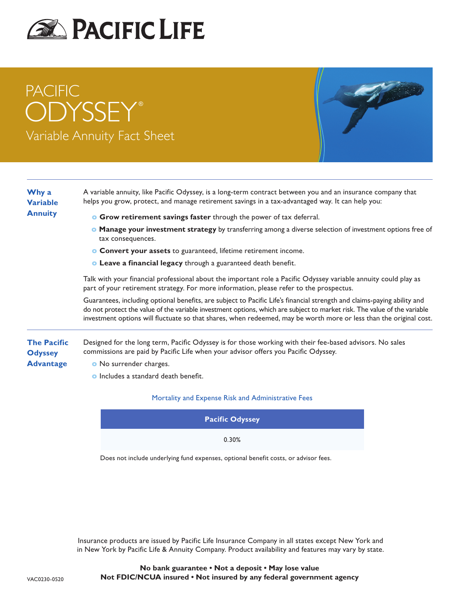

# PACIFIC **ODYSSEY®** Variable Annuity Fact Sheet



### **Why a Variable Annuity**

**Advantage**

- A variable annuity, like Pacific Odyssey, is a long-term contract between you and an insurance company that helps you grow, protect, and manage retirement savings in a tax-advantaged way. It can help you:
	- **o Grow retirement savings faster** through the power of tax deferral.
	- **o Manage your investment strategy** by transferring among a diverse selection of investment options free of tax consequences.
	- **o Convert your assets** to guaranteed, lifetime retirement income.
	- **o Leave a financial legacy** through a guaranteed death benefit.

Talk with your financial professional about the important role a Pacific Odyssey variable annuity could play as part of your retirement strategy. For more information, please refer to the prospectus.

Guarantees, including optional benefits, are subject to Pacific Life's financial strength and claims-paying ability and do not protect the value of the variable investment options, which are subject to market risk. The value of the variable investment options will fluctuate so that shares, when redeemed, may be worth more or less than the original cost.

**The Pacific Odyssey**  Designed for the long term, Pacific Odyssey is for those working with their fee-based advisors. No sales commissions are paid by Pacific Life when your advisor offers you Pacific Odyssey.

- **o** No surrender charges.
	- **o** Includes a standard death benefit.

#### Mortality and Expense Risk and Administrative Fees

| <b>Pacific Odyssey</b> |  |
|------------------------|--|
| 0.30%                  |  |

Does not include underlying fund expenses, optional benefit costs, or advisor fees.

Insurance products are issued by Pacific Life Insurance Company in all states except New York and in New York by Pacific Life & Annuity Company. Product availability and features may vary by state.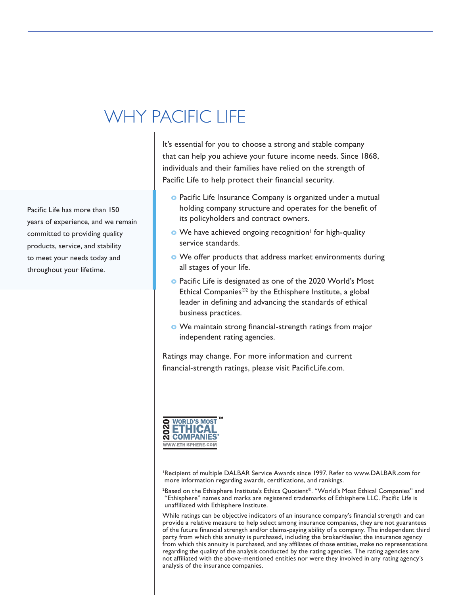## WHY PACIFIC LIFE

Pacific Life has more than 150 years of experience, and we remain committed to providing quality products, service, and stability to meet your needs today and throughout your lifetime.

It's essential for you to choose a strong and stable company that can help you achieve your future income needs. Since 1868, individuals and their families have relied on the strength of Pacific Life to help protect their financial security.

- **o** Pacific Life Insurance Company is organized under a mutual holding company structure and operates for the benefit of its policyholders and contract owners.
- **o** We have achieved ongoing recognition<sup>1</sup> for high-quality service standards.
- **o** We offer products that address market environments during all stages of your life.
- **o** Pacific Life is designated as one of the 2020 World's Most Ethical Companies®2 by the Ethisphere Institute, a global leader in defining and advancing the standards of ethical business practices.
- **o** We maintain strong financial-strength ratings from major independent rating agencies.

Ratings may change. For more information and current financial-strength ratings, please visit PacificLife.com.



<sup>1</sup>Recipient of multiple DALBAR Service Awards since 1997. Refer to www.DALBAR.com for more information regarding awards, certifications, and rankings.

2 Based on the Ethisphere Institute's Ethics Quotient®. "World's Most Ethical Companies" and "Ethisphere" names and marks are registered trademarks of Ethisphere LLC. Pacific Life is unaffiliated with Ethisphere Institute.

While ratings can be objective indicators of an insurance company's financial strength and can provide a relative measure to help select among insurance companies, they are not guarantees of the future financial strength and/or claims-paying ability of a company. The independent third party from which this annuity is purchased, including the broker/dealer, the insurance agency from which this annuity is purchased, and any affiliates of those entities, make no representations regarding the quality of the analysis conducted by the rating agencies. The rating agencies are not affiliated with the above-mentioned entities nor were they involved in any rating agency's analysis of the insurance companies.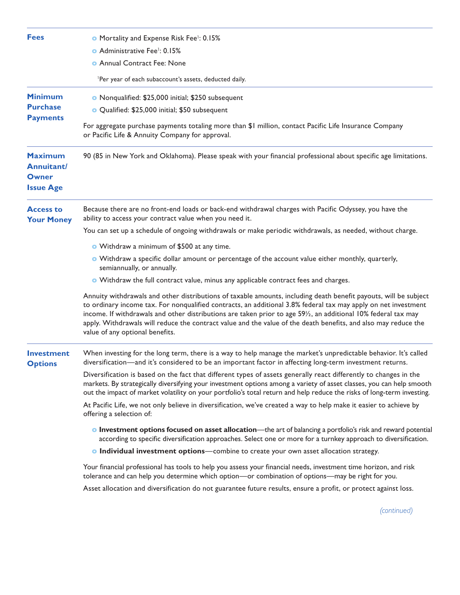| <b>Fees</b>                                                      | <b>O</b> Mortality and Expense Risk Fee <sup>1</sup> : 0.15%<br>• Administrative Fee <sup>1</sup> : 0.15%                                                                                                                                                                                                                                                                                                                                                                                                 |
|------------------------------------------------------------------|-----------------------------------------------------------------------------------------------------------------------------------------------------------------------------------------------------------------------------------------------------------------------------------------------------------------------------------------------------------------------------------------------------------------------------------------------------------------------------------------------------------|
|                                                                  | <b>O</b> Annual Contract Fee: None                                                                                                                                                                                                                                                                                                                                                                                                                                                                        |
|                                                                  | 'Per year of each subaccount's assets, deducted daily.                                                                                                                                                                                                                                                                                                                                                                                                                                                    |
| <b>Minimum</b><br><b>Purchase</b>                                | O Nonqualified: \$25,000 initial; \$250 subsequent                                                                                                                                                                                                                                                                                                                                                                                                                                                        |
| <b>Payments</b>                                                  | O Qualified: \$25,000 initial; \$50 subsequent                                                                                                                                                                                                                                                                                                                                                                                                                                                            |
|                                                                  | For aggregate purchase payments totaling more than \$1 million, contact Pacific Life Insurance Company<br>or Pacific Life & Annuity Company for approval.                                                                                                                                                                                                                                                                                                                                                 |
| <b>Maximum</b><br><b>Annuitant/</b><br>Owner<br><b>Issue Age</b> | 90 (85 in New York and Oklahoma). Please speak with your financial professional about specific age limitations.                                                                                                                                                                                                                                                                                                                                                                                           |
| <b>Access to</b><br><b>Your Money</b>                            | Because there are no front-end loads or back-end withdrawal charges with Pacific Odyssey, you have the<br>ability to access your contract value when you need it.                                                                                                                                                                                                                                                                                                                                         |
|                                                                  | You can set up a schedule of ongoing withdrawals or make periodic withdrawals, as needed, without charge.                                                                                                                                                                                                                                                                                                                                                                                                 |
|                                                                  | • Withdraw a minimum of \$500 at any time.                                                                                                                                                                                                                                                                                                                                                                                                                                                                |
|                                                                  | • Withdraw a specific dollar amount or percentage of the account value either monthly, quarterly,<br>semiannually, or annually.                                                                                                                                                                                                                                                                                                                                                                           |
|                                                                  | O Withdraw the full contract value, minus any applicable contract fees and charges.                                                                                                                                                                                                                                                                                                                                                                                                                       |
|                                                                  | Annuity withdrawals and other distributions of taxable amounts, including death benefit payouts, will be subject<br>to ordinary income tax. For nonqualified contracts, an additional 3.8% federal tax may apply on net investment<br>income. If withdrawals and other distributions are taken prior to age 591/2, an additional 10% federal tax may<br>apply. Withdrawals will reduce the contract value and the value of the death benefits, and also may reduce the<br>value of any optional benefits. |
| <b>Investment</b><br><b>Options</b>                              | When investing for the long term, there is a way to help manage the market's unpredictable behavior. It's called<br>diversification—and it's considered to be an important factor in affecting long-term investment returns.                                                                                                                                                                                                                                                                              |
|                                                                  | Diversification is based on the fact that different types of assets generally react differently to changes in the<br>markets. By strategically diversifying your investment options among a variety of asset classes, you can help smooth<br>out the impact of market volatility on your portfolio's total return and help reduce the risks of long-term investing.                                                                                                                                       |
|                                                                  | At Pacific Life, we not only believe in diversification, we've created a way to help make it easier to achieve by<br>offering a selection of:                                                                                                                                                                                                                                                                                                                                                             |
|                                                                  | <b>Investment options focused on asset allocation</b> —the art of balancing a portfolio's risk and reward potential<br>according to specific diversification approaches. Select one or more for a turnkey approach to diversification.                                                                                                                                                                                                                                                                    |
|                                                                  | • Individual investment options—combine to create your own asset allocation strategy.                                                                                                                                                                                                                                                                                                                                                                                                                     |
|                                                                  | Your financial professional has tools to help you assess your financial needs, investment time horizon, and risk<br>tolerance and can help you determine which option—or combination of options—may be right for you.                                                                                                                                                                                                                                                                                     |

Asset allocation and diversification do not guarantee future results, ensure a profit, or protect against loss.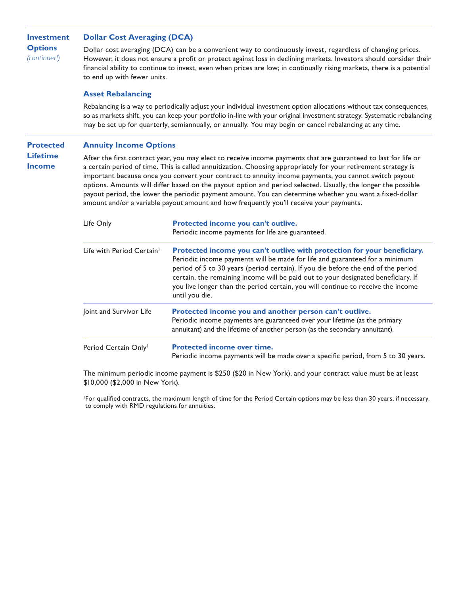| Investment                    | <b>Dollar Cost Averaging (DCA)</b>                                                                                                                                                                                                                                                                                                                                                        |
|-------------------------------|-------------------------------------------------------------------------------------------------------------------------------------------------------------------------------------------------------------------------------------------------------------------------------------------------------------------------------------------------------------------------------------------|
| <b>Options</b><br>(continued) | Dollar cost averaging (DCA) can be a convenient way to continuously invest, regardless of changing prices.<br>However, it does not ensure a profit or protect against loss in declining markets. Investors should consider their<br>financial ability to continue to invest, even when prices are low; in continually rising markets, there is a potential<br>to end up with fewer units. |

#### **Asset Rebalancing**

Rebalancing is a way to periodically adjust your individual investment option allocations without tax consequences, so as markets shift, you can keep your portfolio in-line with your original investment strategy. Systematic rebalancing may be set up for quarterly, semiannually, or annually. You may begin or cancel rebalancing at any time.

#### **Protected Annuity Income Options**

**Lifetime Income**

After the first contract year, you may elect to receive income payments that are guaranteed to last for life or a certain period of time. This is called annuitization. Choosing appropriately for your retirement strategy is important because once you convert your contract to annuity income payments, you cannot switch payout options. Amounts will differ based on the payout option and period selected. Usually, the longer the possible payout period, the lower the periodic payment amount. You can determine whether you want a fixed-dollar amount and/or a variable payout amount and how frequently you'll receive your payments.

| Life Only                             | Protected income you can't outlive.<br>Periodic income payments for life are guaranteed.                                                                                                                                                                                                                                                                                                                                                |
|---------------------------------------|-----------------------------------------------------------------------------------------------------------------------------------------------------------------------------------------------------------------------------------------------------------------------------------------------------------------------------------------------------------------------------------------------------------------------------------------|
| Life with Period Certain <sup>1</sup> | Protected income you can't outlive with protection for your beneficiary.<br>Periodic income payments will be made for life and guaranteed for a minimum<br>period of 5 to 30 years (period certain). If you die before the end of the period<br>certain, the remaining income will be paid out to your designated beneficiary. If<br>you live longer than the period certain, you will continue to receive the income<br>until you die. |
| Joint and Survivor Life               | Protected income you and another person can't outlive.<br>Periodic income payments are guaranteed over your lifetime (as the primary<br>annuitant) and the lifetime of another person (as the secondary annuitant).                                                                                                                                                                                                                     |
| Period Certain Only <sup>1</sup>      | <b>Protected income over time.</b><br>Periodic income payments will be made over a specific period, from 5 to 30 years.                                                                                                                                                                                                                                                                                                                 |

The minimum periodic income payment is \$250 (\$20 in New York), and your contract value must be at least \$10,000 (\$2,000 in New York).

<sup>1</sup>For qualified contracts, the maximum length of time for the Period Certain options may be less than 30 years, if necessary, to comply with RMD regulations for annuities.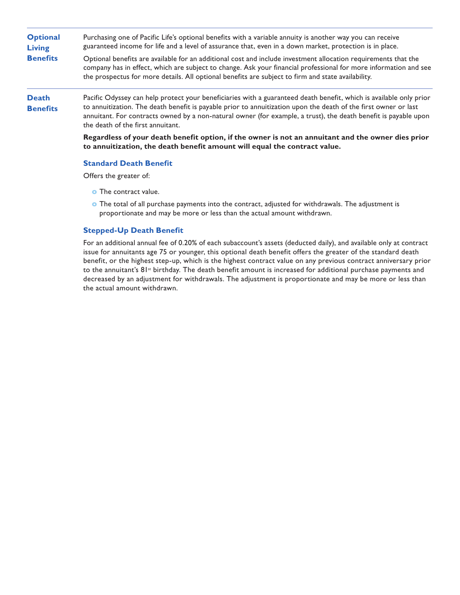| <b>Optional</b><br><b>Living</b> | Purchasing one of Pacific Life's optional benefits with a variable annuity is another way you can receive<br>guaranteed income for life and a level of assurance that, even in a down market, protection is in place.                                                                                                                                                                         |  |
|----------------------------------|-----------------------------------------------------------------------------------------------------------------------------------------------------------------------------------------------------------------------------------------------------------------------------------------------------------------------------------------------------------------------------------------------|--|
| <b>Benefits</b>                  | Optional benefits are available for an additional cost and include investment allocation requirements that the<br>company has in effect, which are subject to change. Ask your financial professional for more information and see<br>the prospectus for more details. All optional benefits are subject to firm and state availability.                                                      |  |
| <b>Death</b><br><b>Benefits</b>  | Pacific Odyssey can help protect your beneficiaries with a guaranteed death benefit, which is available only prior<br>to annuitization. The death benefit is payable prior to annuitization upon the death of the first owner or last<br>annuitant. For contracts owned by a non-natural owner (for example, a trust), the death benefit is payable upon<br>the death of the first annuitant. |  |
|                                  | Regardless of your death benefit option, if the owner is not an annuitant and the owner dies prior<br>to annuitization, the death benefit amount will equal the contract value.                                                                                                                                                                                                               |  |
|                                  | <b>Standard Death Benefit</b>                                                                                                                                                                                                                                                                                                                                                                 |  |

Offers the greater of:

- **o** The contract value.
- **o** The total of all purchase payments into the contract, adjusted for withdrawals. The adjustment is proportionate and may be more or less than the actual amount withdrawn.

#### **Stepped-Up Death Benefit**

For an additional annual fee of 0.20% of each subaccount's assets (deducted daily), and available only at contract issue for annuitants age 75 or younger, this optional death benefit offers the greater of the standard death benefit, or the highest step-up, which is the highest contract value on any previous contract anniversary prior to the annuitant's 81<sup>st</sup> birthday. The death benefit amount is increased for additional purchase payments and decreased by an adjustment for withdrawals. The adjustment is proportionate and may be more or less than the actual amount withdrawn.